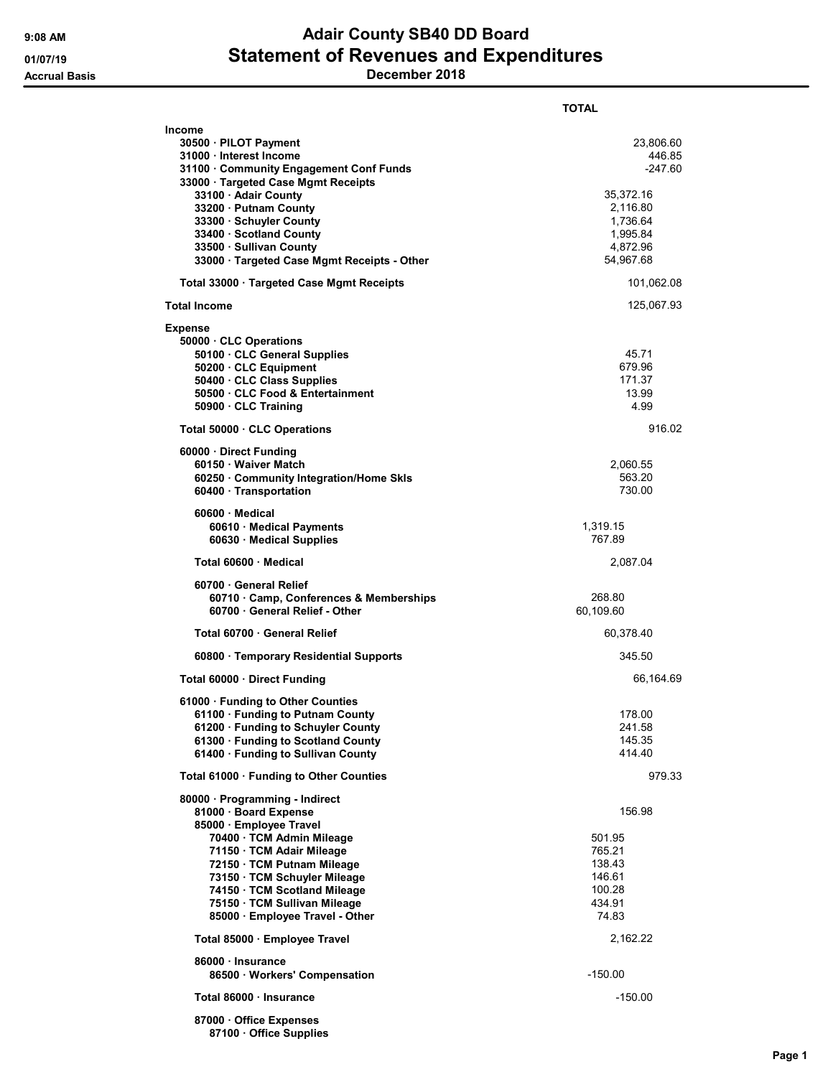## 9:08 AM **Adair County SB40 DD Board** 01/07/19 **Statement of Revenues and Expenditures** Accrual Basis December 2018

|                                                                                                                                                                                                                                                                                                                             | TOTAL                                                                                                      |
|-----------------------------------------------------------------------------------------------------------------------------------------------------------------------------------------------------------------------------------------------------------------------------------------------------------------------------|------------------------------------------------------------------------------------------------------------|
| Income<br>30500 · PILOT Payment<br>31000 Interest Income<br>31100 · Community Engagement Conf Funds<br>33000 · Targeted Case Mgmt Receipts<br>33100 · Adair County<br>33200 · Putnam County<br>33300 · Schuyler County<br>33400 · Scotland County<br>33500 · Sullivan County<br>33000 · Targeted Case Mgmt Receipts - Other | 23,806.60<br>446.85<br>$-247.60$<br>35,372.16<br>2,116.80<br>1,736.64<br>1,995.84<br>4,872.96<br>54,967.68 |
| Total 33000 · Targeted Case Mgmt Receipts                                                                                                                                                                                                                                                                                   | 101,062.08                                                                                                 |
| <b>Total Income</b>                                                                                                                                                                                                                                                                                                         | 125,067.93                                                                                                 |
| Expense<br>50000 CLC Operations<br>50100 · CLC General Supplies<br>50200 · CLC Equipment<br>50400 · CLC Class Supplies<br>50500 CLC Food & Entertainment<br>50900 · CLC Training                                                                                                                                            | 45.71<br>679.96<br>171.37<br>13.99<br>4.99                                                                 |
| Total 50000 CLC Operations                                                                                                                                                                                                                                                                                                  | 916.02                                                                                                     |
| 60000 · Direct Funding<br>60150 Waiver Match<br>60250 Community Integration/Home Skls<br>60400 · Transportation                                                                                                                                                                                                             | 2,060.55<br>563.20<br>730.00                                                                               |
| $60600 \cdot$ Medical<br>60610 Medical Payments<br>60630 Medical Supplies                                                                                                                                                                                                                                                   | 1,319.15<br>767.89                                                                                         |
| Total 60600 Medical                                                                                                                                                                                                                                                                                                         | 2,087.04                                                                                                   |
| 60700 General Relief<br>60710 Camp, Conferences & Memberships<br>60700 General Relief - Other                                                                                                                                                                                                                               | 268.80<br>60,109.60                                                                                        |
| Total 60700 General Relief                                                                                                                                                                                                                                                                                                  | 60,378.40                                                                                                  |
| 60800 · Temporary Residential Supports                                                                                                                                                                                                                                                                                      | 345.50                                                                                                     |
| Total 60000 · Direct Funding                                                                                                                                                                                                                                                                                                | 66,164.69                                                                                                  |
| 61000 · Funding to Other Counties<br>61100 · Funding to Putnam County<br>61200 · Funding to Schuyler County<br>61300 · Funding to Scotland County<br>61400 · Funding to Sullivan County                                                                                                                                     | 178.00<br>241.58<br>145.35<br>414.40                                                                       |
| Total 61000 · Funding to Other Counties                                                                                                                                                                                                                                                                                     | 979.33                                                                                                     |
| 80000 · Programming - Indirect<br>81000 · Board Expense<br>85000 · Employee Travel<br>70400 · TCM Admin Mileage<br>71150 TCM Adair Mileage<br>72150 · TCM Putnam Mileage<br>73150 · TCM Schuyler Mileage<br>74150 TCM Scotland Mileage<br>75150 · TCM Sullivan Mileage<br>85000 · Employee Travel - Other                   | 156.98<br>501.95<br>765.21<br>138.43<br>146.61<br>100.28<br>434.91<br>74.83                                |
| Total 85000 · Employee Travel                                                                                                                                                                                                                                                                                               | 2,162.22                                                                                                   |
| 86000 · Insurance<br>86500 · Workers' Compensation                                                                                                                                                                                                                                                                          | $-150.00$                                                                                                  |
| Total 86000 Insurance                                                                                                                                                                                                                                                                                                       | $-150.00$                                                                                                  |
| 87000 Office Expenses<br>87100 Office Supplies                                                                                                                                                                                                                                                                              |                                                                                                            |

Page 1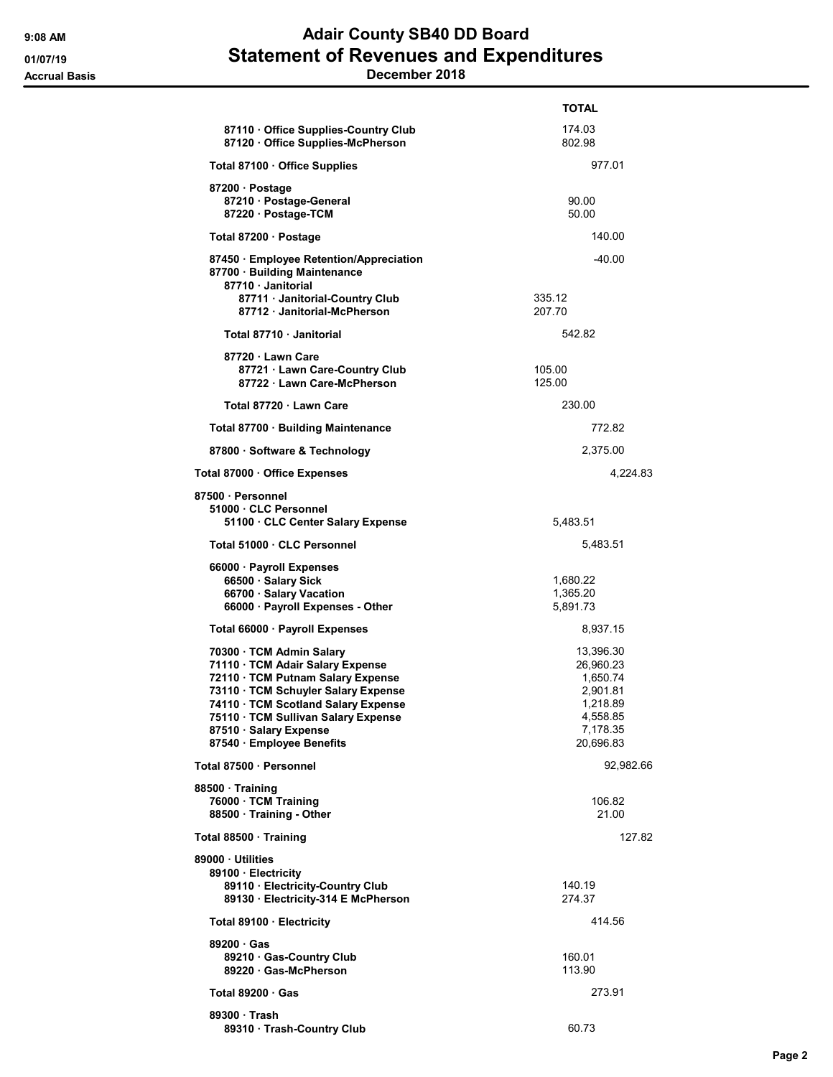## 9:08 AM **Adair County SB40 DD Board** 01/07/19 **Statement of Revenues and Expenditures** Accrual Basis December 2018

|                                                                                                                                                                                                                                                                             | <b>TOTAL</b>                                                                                    |
|-----------------------------------------------------------------------------------------------------------------------------------------------------------------------------------------------------------------------------------------------------------------------------|-------------------------------------------------------------------------------------------------|
| 87110 Office Supplies-Country Club<br>87120 Office Supplies-McPherson                                                                                                                                                                                                       | 174.03<br>802.98                                                                                |
| Total 87100 · Office Supplies                                                                                                                                                                                                                                               | 977.01                                                                                          |
| 87200 · Postage<br>87210 · Postage-General<br>87220 · Postage-TCM                                                                                                                                                                                                           | 90.00<br>50.00                                                                                  |
| Total 87200 · Postage                                                                                                                                                                                                                                                       | 140.00                                                                                          |
| 87450 Employee Retention/Appreciation<br>87700 · Building Maintenance<br>87710 · Janitorial                                                                                                                                                                                 | $-40.00$                                                                                        |
| 87711 · Janitorial-Country Club<br>87712 Janitorial-McPherson                                                                                                                                                                                                               | 335.12<br>207.70                                                                                |
| Total 87710 Janitorial                                                                                                                                                                                                                                                      | 542.82                                                                                          |
| 87720 Lawn Care<br>87721 · Lawn Care-Country Club<br>87722 · Lawn Care-McPherson                                                                                                                                                                                            | 105.00<br>125.00                                                                                |
| Total 87720 Lawn Care                                                                                                                                                                                                                                                       | 230.00                                                                                          |
| Total 87700 · Building Maintenance                                                                                                                                                                                                                                          | 772.82                                                                                          |
| 87800 · Software & Technology                                                                                                                                                                                                                                               | 2,375.00                                                                                        |
| Total 87000 · Office Expenses                                                                                                                                                                                                                                               | 4,224.83                                                                                        |
| 87500 · Personnel<br>51000 CLC Personnel<br>51100 · CLC Center Salary Expense                                                                                                                                                                                               | 5,483.51                                                                                        |
| Total 51000 · CLC Personnel                                                                                                                                                                                                                                                 | 5,483.51                                                                                        |
| 66000 · Payroll Expenses<br>66500 · Salary Sick<br>66700 · Salary Vacation<br>66000 · Payroll Expenses - Other                                                                                                                                                              | 1,680.22<br>1,365.20<br>5,891.73                                                                |
| Total 66000 · Payroll Expenses                                                                                                                                                                                                                                              | 8,937.15                                                                                        |
| 70300 · TCM Admin Salary<br>71110 · TCM Adair Salary Expense<br>72110 · TCM Putnam Salary Expense<br>73110 · TCM Schuyler Salary Expense<br>74110 TCM Scotland Salary Expense<br>75110 · TCM Sullivan Salary Expense<br>87510 · Salary Expense<br>87540 · Employee Benefits | 13,396.30<br>26,960.23<br>1,650.74<br>2,901.81<br>1,218.89<br>4,558.85<br>7,178.35<br>20,696.83 |
| Total 87500 · Personnel                                                                                                                                                                                                                                                     | 92,982.66                                                                                       |
| 88500 · Training<br>76000 · TCM Training<br>88500 Training - Other                                                                                                                                                                                                          | 106.82<br>21.00                                                                                 |
| Total 88500 · Training                                                                                                                                                                                                                                                      | 127.82                                                                                          |
| 89000 · Utilities<br>89100 Electricity<br>89110 · Electricity-Country Club<br>89130 · Electricity-314 E McPherson                                                                                                                                                           | 140.19<br>274.37                                                                                |
| Total 89100 · Electricity                                                                                                                                                                                                                                                   | 414.56                                                                                          |
| 89200 Gas<br>89210 Gas-Country Club<br>89220 Gas-McPherson                                                                                                                                                                                                                  | 160.01<br>113.90                                                                                |
| Total $89200 \cdot Gas$                                                                                                                                                                                                                                                     | 273.91                                                                                          |
| 89300 Trash<br>89310 · Trash-Country Club                                                                                                                                                                                                                                   | 60.73                                                                                           |